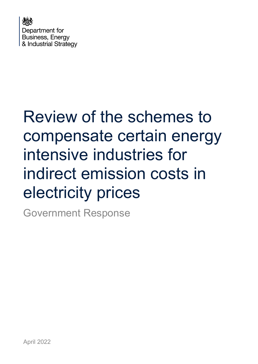

# Review of the schemes to compensate certain energy intensive industries for indirect emission costs in electricity prices

Government Response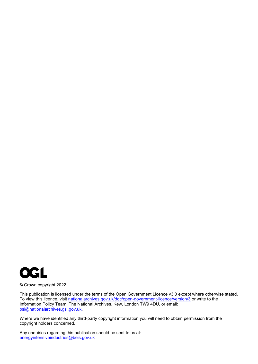

© Crown copyright 2022

This publication is licensed under the terms of the Open Government Licence v3.0 except where otherwise stated. To view this licence, visit [nationalarchives.gov.uk/doc/open-government-licence/version/3](http://nationalarchives.gov.uk/doc/open-government-licence/version/3/) or write to the Information Policy Team, The National Archives, Kew, London TW9 4DU, or email: [psi@nationalarchives.gsi.gov.uk.](mailto:psi@nationalarchives.gsi.gov.uk)

Where we have identified any third-party copyright information you will need to obtain permission from the copyright holders concerned.

Any enquiries regarding this publication should be sent to us at: [energyintensiveindustries@beis.gov.uk](mailto:energyintensiveindustries@beis.gov.uk)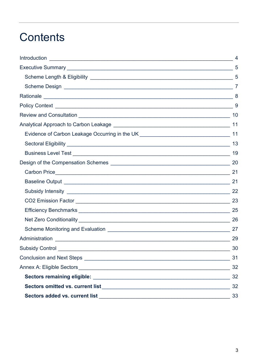## **Contents**

| 10  |
|-----|
|     |
|     |
|     |
|     |
|     |
| 21  |
|     |
|     |
|     |
|     |
|     |
| 27  |
| -29 |
| 30  |
| 31  |
| 32  |
| 32  |
| 32  |
| 33  |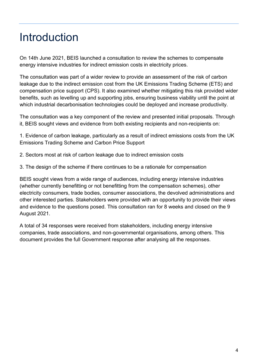## <span id="page-3-0"></span>Introduction

On 14th June 2021, BEIS launched a consultation to review the schemes to compensate energy intensive industries for indirect emission costs in electricity prices.

The consultation was part of a wider review to provide an assessment of the risk of carbon leakage due to the indirect emission cost from the UK Emissions Trading Scheme (ETS) and compensation price support (CPS). It also examined whether mitigating this risk provided wider benefits, such as levelling up and supporting jobs, ensuring business viability until the point at which industrial decarbonisation technologies could be deployed and increase productivity.

The consultation was a key component of the review and presented initial proposals. Through it, BEIS sought views and evidence from both existing recipients and non-recipients on:

1. Evidence of carbon leakage, particularly as a result of indirect emissions costs from the UK Emissions Trading Scheme and Carbon Price Support

- 2. Sectors most at risk of carbon leakage due to indirect emission costs
- 3. The design of the scheme if there continues to be a rationale for compensation

BEIS sought views from a wide range of audiences, including energy intensive industries (whether currently benefitting or not benefitting from the compensation schemes), other electricity consumers, trade bodies, consumer associations, the devolved administrations and other interested parties. Stakeholders were provided with an opportunity to provide their views and evidence to the questions posed. This consultation ran for 8 weeks and closed on the 9 August 2021.

A total of 34 responses were received from stakeholders, including energy intensive companies, trade associations, and non-governmental organisations, among others. This document provides the full Government response after analysing all the responses.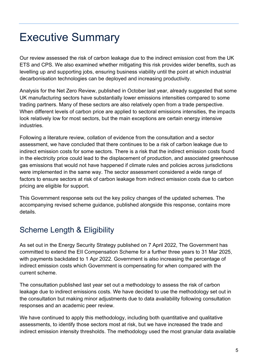## <span id="page-4-0"></span>Executive Summary

Our review assessed the risk of carbon leakage due to the indirect emission cost from the UK ETS and CPS. We also examined whether mitigating this risk provides wider benefits, such as levelling up and supporting jobs, ensuring business viability until the point at which industrial decarbonisation technologies can be deployed and increasing productivity.

Analysis for the Net Zero Review, published in October last year, already suggested that some UK manufacturing sectors have substantially lower emissions intensities compared to some trading partners. Many of these sectors are also relatively open from a trade perspective. When different levels of carbon price are applied to sectoral emissions intensities, the impacts look relatively low for most sectors, but the main exceptions are certain energy intensive **industries** 

Following a literature review, collation of evidence from the consultation and a sector assessment, we have concluded that there continues to be a risk of carbon leakage due to indirect emission costs for some sectors. There is a risk that the indirect emission costs found in the electricity price could lead to the displacement of production, and associated greenhouse gas emissions that would not have happened if climate rules and policies across jurisdictions were implemented in the same way. The sector assessment considered a wide range of factors to ensure sectors at risk of carbon leakage from indirect emission costs due to carbon pricing are eligible for support.

This Government response sets out the key policy changes of the updated schemes. The accompanying revised scheme guidance, published alongside this response, contains more details.

### <span id="page-4-1"></span>Scheme Length & Eligibility

As set out in the Energy Security Strategy published on 7 April 2022, The Government has committed to extend the EII Compensation Scheme for a further three years to 31 Mar 2025, with payments backdated to 1 Apr 2022. Government is also increasing the percentage of indirect emission costs which Government is compensating for when compared with the current scheme.

The consultation published last year set out a methodology to assess the risk of carbon leakage due to indirect emissions costs. We have decided to use the methodology set out in the consultation but making minor adjustments due to data availability following consultation responses and an academic peer review.

We have continued to apply this methodology, including both quantitative and qualitative assessments, to identify those sectors most at risk, but we have increased the trade and indirect emission intensity thresholds. The methodology used the most granular data available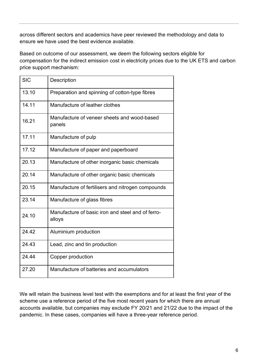across different sectors and academics have peer reviewed the methodology and data to ensure we have used the best evidence available.

Based on outcome of our assessment, we deem the following sectors eligible for compensation for the indirect emission cost in electricity prices due to the UK ETS and carbon price support mechanism:

| <b>SIC</b> | <b>Description</b>                                          |
|------------|-------------------------------------------------------------|
| 13.10      | Preparation and spinning of cotton-type fibres              |
| 14.11      | Manufacture of leather clothes                              |
| 16.21      | Manufacture of veneer sheets and wood-based<br>panels       |
| 17.11      | Manufacture of pulp                                         |
| 17.12      | Manufacture of paper and paperboard                         |
| 20.13      | Manufacture of other inorganic basic chemicals              |
| 20.14      | Manufacture of other organic basic chemicals                |
| 20.15      | Manufacture of fertilisers and nitrogen compounds           |
| 23.14      | Manufacture of glass fibres                                 |
| 24.10      | Manufacture of basic iron and steel and of ferro-<br>alloys |
| 24.42      | Aluminium production                                        |
| 24.43      | Lead, zinc and tin production                               |
| 24.44      | Copper production                                           |
| 27.20      | Manufacture of batteries and accumulators                   |

We will retain the business level test with the exemptions and for at least the first year of the scheme use a reference period of the five most recent years for which there are annual accounts available, but companies may exclude FY 20/21 and 21/22 due to the impact of the pandemic. In these cases, companies will have a three-year reference period.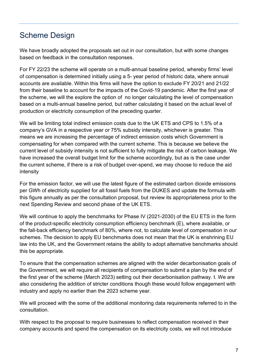### <span id="page-6-0"></span>Scheme Design

We have broadly adopted the proposals set out in our consultation, but with some changes based on feedback in the consultation responses.

For FY 22/23 the scheme will operate on a multi-annual baseline period, whereby firms' level of compensation is determined initially using a 5- year period of historic data, where annual accounts are available. Within this firms will have the option to exclude FY 20/21 and 21/22 from their baseline to account for the impacts of the Covid-19 pandemic. After the first year of the scheme, we will the explore the option of no longer calculating the level of compensation based on a multi-annual baseline period, but rather calculating it based on the actual level of production or electricity consumption of the preceding quarter.

We will be limiting total indirect emission costs due to the UK ETS and CPS to 1.5% of a company's GVA in a respective year or 75% subsidy intensity, whichever is greater. This means we are increasing the percentage of indirect emission costs which Government is compensating for when compared with the current scheme. This is because we believe the current level of subsidy intensity is not sufficient to fully mitigate the risk of carbon leakage. We have increased the overall budget limit for the scheme accordingly, but as is the case under the current scheme, if there is a risk of budget over-spend, we may choose to reduce the aid intensity

For the emission factor, we will use the latest figure of the estimated carbon dioxide emissions per GWh of electricity supplied for all fossil fuels from the DUKES and update the formula with this figure annually as per the consultation proposal, but review its appropriateness prior to the next Spending Review and second phase of the UK ETS.

We will continue to apply the benchmarks for Phase IV (2021-2030) of the EU ETS in the form of the product-specific electricity consumption efficiency benchmark (E), where available, or the fall-back efficiency benchmark of 80%, where not, to calculate level of compensation in our schemes. The decision to apply EU benchmarks does not mean that the UK is enshrining EU law into the UK, and the Government retains the ability to adopt alternative benchmarks should this be appropriate.

To ensure that the compensation schemes are aligned with the wider decarbonisation goals of the Government, we will require all recipients of compensation to submit a plan by the end of the first year of the scheme (March 2023) setting out their decarbonisation pathway. t. We are also considering the addition of stricter conditions though these would follow engagement with industry and apply no earlier than the 2023 scheme year.

We will proceed with the some of the additional monitoring data requirements referred to in the consultation.

With respect to the proposal to require businesses to reflect compensation received in their company accounts and spend the compensation on its electricity costs, we will not introduce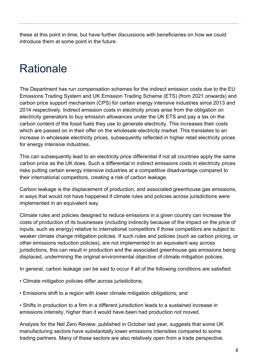these at this point in time, but have further discussions with beneficiaries on how we could introduce them at some point in the future.

## <span id="page-7-0"></span>Rationale

The Department has run compensation schemes for the indirect emission costs due to the EU Emissions Trading System and UK Emission Trading Scheme (ETS) (from 2021 onwards) and carbon price support mechanism (CPS) for certain energy intensive industries since 2013 and 2014 respectively. Indirect emission costs in electricity prices arise from the obligation on electricity generators to buy emission allowances under the UK ETS and pay a tax on the carbon content of the fossil fuels they use to generate electricity. This increases their costs which are passed on in their offer on the wholesale electricity market. This translates to an increase in wholesale electricity prices, subsequently reflected in higher retail electricity prices for energy intensive industries.

This can subsequently lead to an electricity price differential if not all countries apply the same carbon price as the UK does. Such a differential in indirect emissions costs in electricity prices risks putting certain energy intensive industries at a competitive disadvantage compared to their international competitors, creating a risk of carbon leakage.

Carbon leakage is the displacement of production, and associated greenhouse gas emissions, in ways that would not have happened if climate rules and policies across jurisdictions were implemented in an equivalent way.

Climate rules and policies designed to reduce emissions in a given country can increase the costs of production of its businesses (including indirectly because of the impact on the price of inputs, such as energy) relative to international competitors if those competitors are subject to weaker climate change mitigation policies. If such rules and policies (such as carbon pricing, or other emissions reduction policies), are not implemented in an equivalent way across jurisdictions, this can result in production and the associated greenhouse gas emissions being displaced, undermining the original environmental objective of climate mitigation policies.

In general, carbon leakage can be said to occur if all of the following conditions are satisfied:

- Climate mitigation policies differ across jurisdictions;
- Emissions shift to a region with lower climate mitigation obligations; and

• Shifts in production to a firm in a different jurisdiction leads to a sustained increase in emissions intensity, higher than it would have been had production not moved.

Analysis for the Net Zero Review, published in October last year, suggests that some UK manufacturing sectors have substantially lower emissions intensities compared to some trading partners. Many of these sectors are also relatively open from a trade perspective.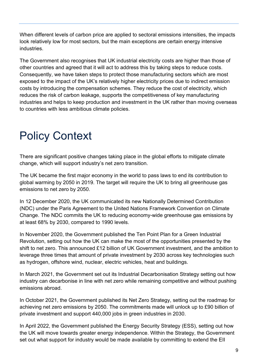When different levels of carbon price are applied to sectoral emissions intensities, the impacts look relatively low for most sectors, but the main exceptions are certain energy intensive industries.

The Government also recognises that UK industrial electricity costs are higher than those of other countries and agreed that it will act to address this by taking steps to reduce costs. Consequently, we have taken steps to protect those manufacturing sectors which are most exposed to the impact of the UK's relatively higher electricity prices due to indirect emission costs by introducing the compensation schemes. They reduce the cost of electricity, which reduces the risk of carbon leakage, supports the competitiveness of key manufacturing industries and helps to keep production and investment in the UK rather than moving overseas to countries with less ambitious climate policies.

## <span id="page-8-0"></span>Policy Context

There are significant positive changes taking place in the global efforts to mitigate climate change, which will support industry's net zero transition.

The UK became the first major economy in the world to pass laws to end its contribution to global warming by 2050 in 2019. The target will require the UK to bring all greenhouse gas emissions to net zero by 2050.

In 12 December 2020, the UK communicated its new Nationally Determined Contribution (NDC) under the Paris Agreement to the United Nations Framework Convention on Climate Change. The NDC commits the UK to reducing economy-wide greenhouse gas emissions by at least 68% by 2030, compared to 1990 levels.

In November 2020, the Government published the Ten Point Plan for a Green Industrial Revolution, setting out how the UK can make the most of the opportunities presented by the shift to net zero. This announced £12 billion of UK Government investment, and the ambition to leverage three times that amount of private investment by 2030 across key technologies such as hydrogen, offshore wind, nuclear, electric vehicles, heat and buildings.

In March 2021, the Government set out its Industrial Decarbonisation Strategy setting out how industry can decarbonise in line with net zero while remaining competitive and without pushing emissions abroad.

In October 2021, the Government published its Net Zero Strategy, setting out the roadmap for achieving net zero emissions by 2050. The commitments made will unlock up to £90 billion of private investment and support 440,000 jobs in green industries in 2030.

In April 2022, the Government published the Energy Security Strategy (ESS), setting out how the UK will move towards greater energy independence. Within the Strategy, the Government set out what support for industry would be made available by committing to extend the EII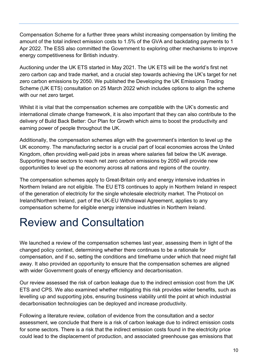Compensation Scheme for a further three years whilst increasing compensation by limiting the amount of the total indirect emission costs to 1.5% of the GVA and backdating payments to 1 Apr 2022. The ESS also committed the Government to exploring other mechanisms to improve energy competitiveness for British industry.

Auctioning under the UK ETS started in May 2021. The UK ETS will be the world's first net zero carbon cap and trade market, and a crucial step towards achieving the UK's target for net zero carbon emissions by 2050. We published the Developing the UK Emissions Trading Scheme (UK ETS) consultation on 25 March 2022 which includes options to align the scheme with our net zero target.

Whilst it is vital that the compensation schemes are compatible with the UK's domestic and international climate change framework, it is also important that they can also contribute to the delivery of Build Back Better: Our Plan for Growth which aims to boost the productivity and earning power of people throughout the UK.

Additionally, the compensation schemes align with the government's intention to level up the UK economy. The manufacturing sector is a crucial part of local economies across the United Kingdom, often providing well-paid jobs in areas where salaries fall below the UK average. Supporting these sectors to reach net zero carbon emissions by 2050 will provide new opportunities to level up the economy across all nations and regions of the country.

The compensation schemes apply to Great-Britain only and energy intensive industries in Northern Ireland are not eligible. The EU ETS continues to apply in Northern Ireland in respect of the generation of electricity for the single wholesale electricity market. The Protocol on Ireland/Northern Ireland, part of the UK-EU Withdrawal Agreement, applies to any compensation scheme for eligible energy intensive industries in Northern Ireland.

## <span id="page-9-0"></span>Review and Consultation

We launched a review of the compensation schemes last year, assessing them in light of the changed policy context, determining whether there continues to be a rationale for compensation, and if so, setting the conditions and timeframe under which that need might fall away. It also provided an opportunity to ensure that the compensation schemes are aligned with wider Government goals of energy efficiency and decarbonisation.

Our review assessed the risk of carbon leakage due to the indirect emission cost from the UK ETS and CPS. We also examined whether mitigating this risk provides wider benefits, such as levelling up and supporting jobs, ensuring business viability until the point at which industrial decarbonisation technologies can be deployed and increase productivity.

Following a literature review, collation of evidence from the consultation and a sector assessment, we conclude that there is a risk of carbon leakage due to indirect emission costs for some sectors. There is a risk that the indirect emission costs found in the electricity price could lead to the displacement of production, and associated greenhouse gas emissions that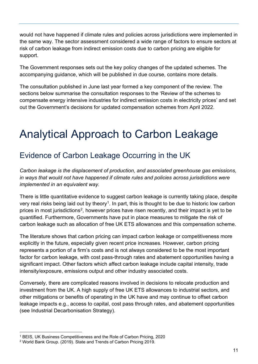would not have happened if climate rules and policies across jurisdictions were implemented in the same way. The sector assessment considered a wide range of factors to ensure sectors at risk of carbon leakage from indirect emission costs due to carbon pricing are eligible for support.

The Government responses sets out the key policy changes of the updated schemes. The accompanying guidance, which will be published in due course, contains more details.

The consultation published in June last year formed a key component of the review. The sections below summarise the consultation responses to the 'Review of the schemes to compensate energy intensive industries for indirect emission costs in electricity prices' and set out the Government's decisions for updated compensation schemes from April 2022.

## <span id="page-10-0"></span>Analytical Approach to Carbon Leakage

### <span id="page-10-1"></span>Evidence of Carbon Leakage Occurring in the UK

*Carbon leakage is the displacement of production, and associated greenhouse gas emissions, in ways that would not have happened if climate rules and policies across jurisdictions were implemented in an equivalent way.*

There is little quantitative evidence to suggest carbon leakage is currently taking place, despite very real risks being laid out by theory<sup>1</sup>. In part, this is thought to be due to historic low carbon prices in most jurisdictions<sup>[2](#page-10-3)</sup>, however prices have risen recently, and their impact is yet to be quantified. Furthermore, Governments have put in place measures to mitigate the risk of carbon leakage such as allocation of free UK ETS allowances and this compensation scheme.

The literature shows that carbon pricing can impact carbon leakage or competitiveness more explicitly in the future, especially given recent price increases. However, carbon pricing represents a portion of a firm's costs and is not always considered to be the most important factor for carbon leakage, with cost pass-through rates and abatement opportunities having a significant impact. Other factors which affect carbon leakage include capital intensity, trade intensity/exposure, emissions output and other industry associated costs.

Conversely, there are complicated reasons involved in decisions to relocate production and investment from the UK. A high supply of free UK ETS allowances to industrial sectors, and other mitigations or benefits of operating in the UK have and may continue to offset carbon leakage impacts e.g., access to capital, cost pass through rates, and abatement opportunities (see Industrial Decarbonisation Strategy).

<span id="page-10-2"></span><sup>1</sup> BEIS, UK Business Competitiveness and the Role of Carbon Pricing, 2020

<span id="page-10-3"></span><sup>2</sup> World Bank Group. (2019). State and Trends of Carbon Pricing 2019.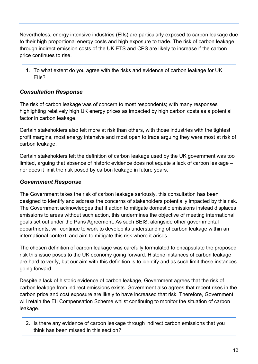Nevertheless, energy intensive industries (EIIs) are particularly exposed to carbon leakage due to their high proportional energy costs and high exposure to trade. The risk of carbon leakage through indirect emission costs of the UK ETS and CPS are likely to increase if the carbon price continues to rise.

1. To what extent do you agree with the risks and evidence of carbon leakage for UK EIIs?

### *Consultation Response*

The risk of carbon leakage was of concern to most respondents; with many responses highlighting relatively high UK energy prices as impacted by high carbon costs as a potential factor in carbon leakage.

Certain stakeholders also felt more at risk than others, with those industries with the tightest profit margins, most energy intensive and most open to trade arguing they were most at risk of carbon leakage.

Certain stakeholders felt the definition of carbon leakage used by the UK government was too limited, arguing that absence of historic evidence does not equate a lack of carbon leakage – nor does it limit the risk posed by carbon leakage in future years.

#### *Government Response*

The Government takes the risk of carbon leakage seriously, this consultation has been designed to identify and address the concerns of stakeholders potentially impacted by this risk. The Government acknowledges that if action to mitigate domestic emissions instead displaces emissions to areas without such action, this undermines the objective of meeting international goals set out under the Paris Agreement. As such BEIS, alongside other governmental departments, will continue to work to develop its understanding of carbon leakage within an international context, and aim to mitigate this risk where it arises.

The chosen definition of carbon leakage was carefully formulated to encapsulate the proposed risk this issue poses to the UK economy going forward. Historic instances of carbon leakage are hard to verify, but our aim with this definition is to identify and as such limit these instances going forward.

Despite a lack of historic evidence of carbon leakage, Government agrees that the risk of carbon leakage from indirect emissions exists. Government also agrees that recent rises in the carbon price and cost exposure are likely to have increased that risk. Therefore, Government will retain the EII Compensation Scheme whilst continuing to monitor the situation of carbon leakage.

2. Is there any evidence of carbon leakage through indirect carbon emissions that you think has been missed in this section?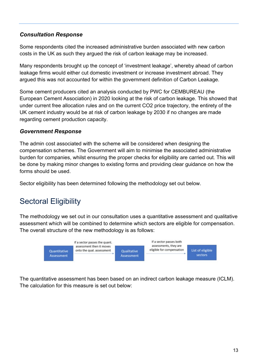### *Consultation Response*

Some respondents cited the increased administrative burden associated with new carbon costs in the UK as such they argued the risk of carbon leakage may be increased.

Many respondents brought up the concept of 'investment leakage', whereby ahead of carbon leakage firms would either cut domestic investment or increase investment abroad. They argued this was not accounted for within the government definition of Carbon Leakage.

Some cement producers cited an analysis conducted by PWC for CEMBUREAU (the European Cement Association) in 2020 looking at the risk of carbon leakage. This showed that under current free allocation rules and on the current CO2 price trajectory, the entirety of the UK cement industry would be at risk of carbon leakage by 2030 if no changes are made regarding cement production capacity.

#### *Government Response*

The admin cost associated with the scheme will be considered when designing the compensation schemes. The Government will aim to minimise the associated administrative burden for companies, whilst ensuring the proper checks for eligibility are carried out. This will be done by making minor changes to existing forms and providing clear guidance on how the forms should be used.

Sector eligibility has been determined following the methodology set out below.

### <span id="page-12-0"></span>Sectoral Eligibility

The methodology we set out in our consultation uses a quantitative assessment and qualitative assessment which will be combined to determine which sectors are eligible for compensation. The overall structure of the new methodology is as follows:



The quantitative assessment has been based on an indirect carbon leakage measure (ICLM). The calculation for this measure is set out below: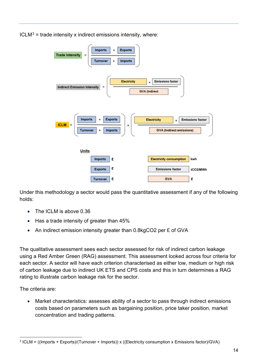$ICLM<sup>3</sup>$  $ICLM<sup>3</sup>$  $ICLM<sup>3</sup>$  = trade intensity x indirect emissions intensity, where:



Under this methodology a sector would pass the quantitative assessment if any of the following holds:

- The ICLM is above 0.36
- Has a trade intensity of greater than 45%
- An indirect emission intensity greater than 0.8kgCO2 per £ of GVA

The qualitative assessment sees each sector assessed for risk of indirect carbon leakage using a Red Amber Green (RAG) assessment. This assessment looked across four criteria for each sector. A sector will have each criterion characterised as either low, medium or high risk of carbon leakage due to indirect UK ETS and CPS costs and this in turn determines a RAG rating to illustrate carbon leakage risk for the sector.

The criteria are:

• Market characteristics: assesses ability of a sector to pass through indirect emissions costs based on parameters such as bargaining position, price taker position, market concentration and trading patterns.

<span id="page-13-0"></span><sup>3</sup> ICLM = ((Imports + Exports)/(Turnover + Imports)) x ((Electricity consumption x Emissions factor)/GVA)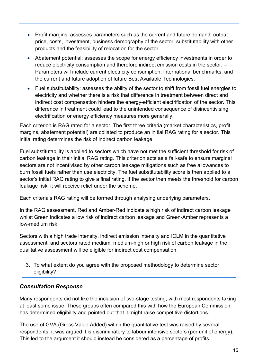- Profit margins: assesses parameters such as the current and future demand, output price, costs, investment, business demography of the sector, substitutability with other products and the feasibility of relocation for the sector.
- Abatement potential: assesses the scope for energy efficiency investments in order to reduce electricity consumption and therefore indirect emission costs in the sector. – Parameters will include current electricity consumption, international benchmarks, and the current and future adoption of future Best Available Technologies.
- Fuel substitutability: assesses the ability of the sector to shift from fossil fuel energies to electricity and whether there is a risk that difference in treatment between direct and indirect cost compensation hinders the energy-efficient electrification of the sector. This difference in treatment could lead to the unintended consequence of disincentivising electrification or energy efficiency measures more generally.

Each criterion is RAG rated for a sector. The first three criteria (market characteristics, profit margins, abatement potential) are collated to produce an initial RAG rating for a sector. This initial rating determines the risk of indirect carbon leakage.

Fuel substitutability is applied to sectors which have not met the sufficient threshold for risk of carbon leakage in their initial RAG rating. This criterion acts as a fail-safe to ensure marginal sectors are not incentivised by other carbon leakage mitigations such as free allowances to burn fossil fuels rather than use electricity. The fuel substitutability score is then applied to a sector's initial RAG rating to give a final rating. If the sector then meets the threshold for carbon leakage risk, it will receive relief under the scheme.

Each criteria's RAG rating will be formed through analysing underlying parameters.

In the RAG assessment, Red and Amber-Red indicate a high risk of indirect carbon leakage whilst Green indicates a low risk of indirect carbon leakage and Green-Amber represents a low-medium risk.

Sectors with a high trade intensity, indirect emission intensity and ICLM in the quantitative assessment, and sectors rated medium, medium-high or high risk of carbon leakage in the qualitative assessment will be eligible for indirect cost compensation.

3. To what extent do you agree with the proposed methodology to determine sector eligibility?

### *Consultation Response*

Many respondents did not like the inclusion of two-stage testing, with most respondents taking at least some issue. These groups often compared this with how the European Commission has determined eligibility and pointed out that it might raise competitive distortions.

The use of GVA (Gross Value Added) within the quantitative test was raised by several respondents; it was argued it is discriminatory to labour intensive sectors (per unit of energy). This led to the argument it should instead be considered as a percentage of profits.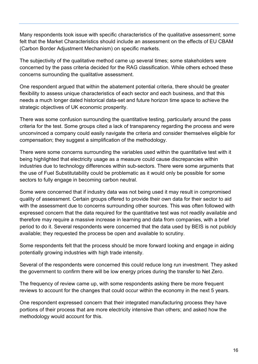Many respondents took issue with specific characteristics of the qualitative assessment; some felt that the Market Characteristics should include an assessment on the effects of EU CBAM (Carbon Border Adjustment Mechanism) on specific markets.

The subjectivity of the qualitative method came up several times; some stakeholders were concerned by the pass criteria decided for the RAG classification. While others echoed these concerns surrounding the qualitative assessment.

One respondent argued that within the abatement potential criteria, there should be greater flexibility to assess unique characteristics of each sector and each business, and that this needs a much longer dated historical data-set and future horizon time space to achieve the strategic objectives of UK economic prosperity.

There was some confusion surrounding the quantitative testing, particularly around the pass criteria for the test. Some groups cited a lack of transparency regarding the process and were unconvinced a company could easily navigate the criteria and consider themselves eligible for compensation; they suggest a simplification of the methodology.

There were some concerns surrounding the variables used within the quantitative test with it being highlighted that electricity usage as a measure could cause discrepancies within industries due to technology differences within sub-sectors. There were some arguments that the use of Fuel Substitutability could be problematic as it would only be possible for some sectors to fully engage in becoming carbon neutral.

Some were concerned that if industry data was not being used it may result in compromised quality of assessment. Certain groups offered to provide their own data for their sector to aid with the assessment due to concerns surrounding other sources. This was often followed with expressed concern that the data required for the quantitative test was not readily available and therefore may require a massive increase in learning and data from companies, with a brief period to do it. Several respondents were concerned that the data used by BEIS is not publicly available; they requested the process be open and available to scrutiny.

Some respondents felt that the process should be more forward looking and engage in aiding potentially growing industries with high trade intensity.

Several of the respondents were concerned this could reduce long run investment. They asked the government to confirm there will be low energy prices during the transfer to Net Zero.

The frequency of review came up, with some respondents asking there be more frequent reviews to account for the changes that could occur within the economy in the next 5 years.

One respondent expressed concern that their integrated manufacturing process they have portions of their process that are more electricity intensive than others; and asked how the methodology would account for this.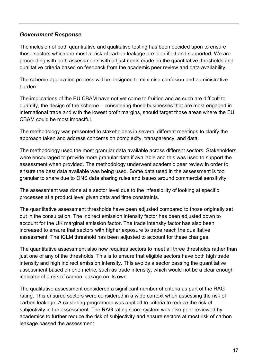#### *Government Response*

The inclusion of both quantitative and qualitative testing has been decided upon to ensure those sectors which are most at risk of carbon leakage are identified and supported. We are proceeding with both assessments with adjustments made on the quantitative thresholds and qualitative criteria based on feedback from the academic peer review and data availability.

The scheme application process will be designed to minimise confusion and administrative burden.

The implications of the EU CBAM have not yet come to fruition and as such are difficult to quantify, the design of the scheme – considering those businesses that are most engaged in international trade and with the lowest profit margins, should target those areas where the EU CBAM could be most impactful.

The methodology was presented to stakeholders in several different meetings to clarify the approach taken and address concerns on complexity, transparency, and data.

The methodology used the most granular data available across different sectors. Stakeholders were encouraged to provide more granular data if available and this was used to support the assessment when provided. The methodology underwent academic peer review in order to ensure the best data available was being used. Some data used in the assessment is too granular to share due to ONS data sharing rules and issues around commercial sensitivity.

The assessment was done at a sector level due to the infeasibility of looking at specific processes at a product level given data and time constraints.

The quantitative assessment thresholds have been adjusted compared to those originally set out in the consultation. The indirect emission intensity factor has been adjusted down to account for the UK marginal emission factor. The trade intensity factor has also been increased to ensure that sectors with higher exposure to trade reach the qualitative assessment. The ICLM threshold has been adjusted to account for these changes.

The quantitative assessment also now requires sectors to meet all three thresholds rather than just one of any of the thresholds. This is to ensure that eligible sectors have both high trade intensity and high indirect emission intensity. This avoids a sector passing the quantitative assessment based on one metric, such as trade intensity, which would not be a clear enough indicator of a risk of carbon leakage on its own.

The qualitative assessment considered a significant number of criteria as part of the RAG rating. This ensured sectors were considered in a wide context when assessing the risk of carbon leakage. A clustering programme was applied to criteria to reduce the risk of subjectivity in the assessment. The RAG rating score system was also peer reviewed by academics to further reduce the risk of subjectivity and ensure sectors at most risk of carbon leakage passed the assessment.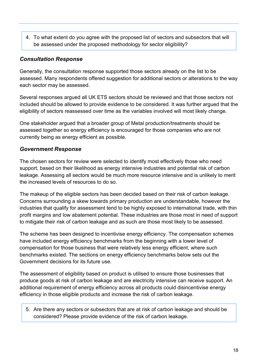4. To what extent do you agree with the proposed list of sectors and subsectors that will be assessed under the proposed methodology for sector eligibility?

#### *Consultation Response*

Generally, the consultation response supported those sectors already on the list to be assessed. Many respondents offered suggestion for additional sectors or alterations to the way each sector may be assessed.

Several responses argued all UK ETS sectors should be reviewed and that those sectors not included should be allowed to provide evidence to be considered. It was further argued that the eligibility of sectors reassessed over time as the variables involved will most likely change.

One stakeholder argued that a broader group of Metal production/treatments should be assessed together so energy efficiency is encouraged for those companies who are not currently being as energy efficient as possible.

### *Government Response*

The chosen sectors for review were selected to identify most effectively those who need support, based on their likelihood as energy intensive industries and potential risk of carbon leakage. Assessing all sectors would be much more resource intensive and is unlikely to merit the increased levels of resources to do so.

The makeup of the eligible sectors has been decided based on their risk of carbon leakage. Concerns surrounding a skew towards primary production are understandable, however the industries that qualify for assessment tend to be highly exposed to international trade, with thin profit margins and low abatement potential. These industries are those most in need of support to mitigate their risk of carbon leakage and as such are those most likely to be assessed.

The scheme has been designed to incentivise energy efficiency. The compensation schemes have included energy efficiency benchmarks from the beginning with a lower level of compensation for those business that were relatively less energy efficient, where such benchmarks existed. The sections on energy efficiency benchmarks below sets out the Government decisions for its future use.

The assessment of eligibility based on product is utilised to ensure those businesses that produce goods at risk of carbon leakage and are electricity intensive can receive support. An additional requirement of energy efficiency across all products could disincentivise energy efficiency in those eligible products and increase the risk of carbon leakage.

5. Are there any sectors or subsectors that are at risk of carbon leakage and should be considered? Please provide evidence of the risk of carbon leakage.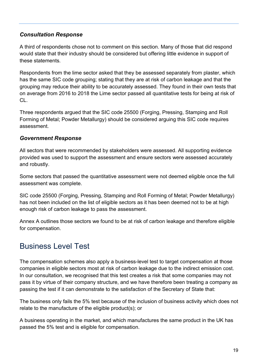#### *Consultation Response*

A third of respondents chose not to comment on this section. Many of those that did respond would state that their industry should be considered but offering little evidence in support of these statements.

Respondents from the lime sector asked that they be assessed separately from plaster, which has the same SIC code grouping; stating that they are at risk of carbon leakage and that the grouping may reduce their ability to be accurately assessed. They found in their own tests that on average from 2016 to 2018 the Lime sector passed all quantitative tests for being at risk of CL.

Three respondents argued that the SIC code 25500 (Forging, Pressing, Stamping and Roll Forming of Metal; Powder Metallurgy) should be considered arguing this SIC code requires assessment.

#### *Government Response*

All sectors that were recommended by stakeholders were assessed. All supporting evidence provided was used to support the assessment and ensure sectors were assessed accurately and robustly.

Some sectors that passed the quantitative assessment were not deemed eligible once the full assessment was complete.

SIC code 25500 (Forging, Pressing, Stamping and Roll Forming of Metal; Powder Metallurgy) has not been included on the list of eligible sectors as it has been deemed not to be at high enough risk of carbon leakage to pass the assessment.

Annex A outlines those sectors we found to be at risk of carbon leakage and therefore eligible for compensation.

### <span id="page-18-0"></span>Business Level Test

The compensation schemes also apply a business-level test to target compensation at those companies in eligible sectors most at risk of carbon leakage due to the indirect emission cost. In our consultation, we recognised that this test creates a risk that some companies may not pass it by virtue of their company structure, and we have therefore been treating a company as passing the test if it can demonstrate to the satisfaction of the Secretary of State that:

The business only fails the 5% test because of the inclusion of business activity which does not relate to the manufacture of the eligible product(s); or

A business operating in the market, and which manufactures the same product in the UK has passed the 5% test and is eligible for compensation.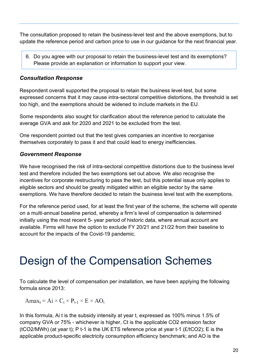The consultation proposed to retain the business-level test and the above exemptions, but to update the reference period and carbon price to use in our guidance for the next financial year.

6. Do you agree with our proposal to retain the business-level test and its exemptions? Please provide an explanation or information to support your view.

#### *Consultation Response*

Respondent overall supported the proposal to retain the business level-test, but some expressed concerns that it may cause intra-sectoral competitive distortions, the threshold is set too high, and the exemptions should be widened to include markets in the EU.

Some respondents also sought for clarification about the reference period to calculate the average GVA and ask for 2020 and 2021 to be excluded from the test.

One respondent pointed out that the test gives companies an incentive to reorganise themselves corporately to pass it and that could lead to energy inefficiencies.

#### *Government Response*

We have recognised the risk of intra-sectoral competitive distortions due to the business level test and therefore included the two exemptions set out above. We also recognise the incentives for corporate restructuring to pass the test, but this potential issue only applies to eligible sectors and should be greatly mitigated within an eligible sector by the same exemptions. We have therefore decided to retain the business level test with the exemptions.

For the reference period used, for at least the first year of the scheme, the scheme will operate on a multi-annual baseline period, whereby a firm's level of compensation is determined initially using the most recent 5- year period of historic data, where annual account are available. Firms will have the option to exclude FY 20/21 and 21/22 from their baseline to account for the impacts of the Covid-19 pandemic.

## <span id="page-19-0"></span>Design of the Compensation Schemes

To calculate the level of compensation per installation, we have been applying the following formula since 2013:

 $Amax_t = Ai \times C_t \times P_{t-1} \times E \times AO_t$ 

In this formula, Ai t is the subsidy intensity at year t, expressed as 100% minus 1.5% of company GVA or 75% - whichever is higher, Ct is the applicable CO2 emission factor (tCO2/MWh) (at year t); P t-1 is the UK ETS reference price at year t-1 (£/tCO2); E is the applicable product-specific electricity consumption efficiency benchmark; and AO is the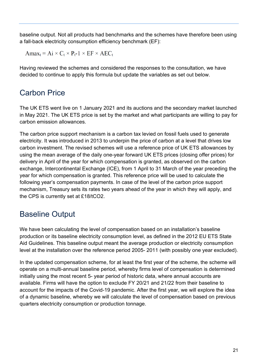baseline output. Not all products had benchmarks and the schemes have therefore been using a fall-back electricity consumption efficiency benchmark (EF):

 $Amax_t = Ai \times C_t \times P_t - 1 \times EF \times AEC_t$ 

Having reviewed the schemes and considered the responses to the consultation, we have decided to continue to apply this formula but update the variables as set out below.

### <span id="page-20-0"></span>Carbon Price

The UK ETS went live on 1 January 2021 and its auctions and the secondary market launched in May 2021. The UK ETS price is set by the market and what participants are willing to pay for carbon emission allowances.

The carbon price support mechanism is a carbon tax levied on fossil fuels used to generate electricity. It was introduced in 2013 to underpin the price of carbon at a level that drives low carbon investment. The revised schemes will use a reference price of UK ETS allowances by using the mean average of the daily one-year forward UK ETS prices (closing offer prices) for delivery in April of the year for which compensation is granted, as observed on the carbon exchange, Intercontinental Exchange (ICE), from 1 April to 31 March of the year preceding the year for which compensation is granted. This reference price will be used to calculate the following year's compensation payments. In case of the level of the carbon price support mechanism, Treasury sets its rates two years ahead of the year in which they will apply, and the CPS is currently set at £18/tCO2.

### <span id="page-20-1"></span>Baseline Output

We have been calculating the level of compensation based on an installation's baseline production or its baseline electricity consumption level, as defined in the 2012 EU ETS State Aid Guidelines. This baseline output meant the average production or electricity consumption level at the installation over the reference period 2005- 2011 (with possibly one year excluded).

In the updated compensation scheme, for at least the first year of the scheme, the scheme will operate on a multi-annual baseline period, whereby firms level of compensation is determined initially using the most recent 5- year period of historic data, where annual accounts are available. Firms will have the option to exclude FY 20/21 and 21/22 from their baseline to account for the impacts of the Covid-19 pandemic. After the first year, we will explore the idea of a dynamic baseline, whereby we will calculate the level of compensation based on previous quarters electricity consumption or production tonnage.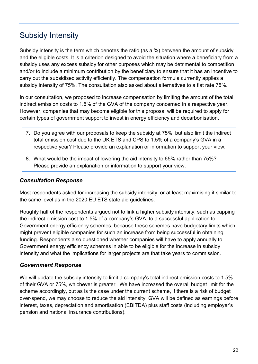### <span id="page-21-0"></span>Subsidy Intensity

Subsidy intensity is the term which denotes the ratio (as a %) between the amount of subsidy and the eligible costs. It is a criterion designed to avoid the situation where a beneficiary from a subsidy uses any excess subsidy for other purposes which may be detrimental to competition and/or to include a minimum contribution by the beneficiary to ensure that it has an incentive to carry out the subsidised activity efficiently. The compensation formula currently applies a subsidy intensity of 75%. The consultation also asked about alternatives to a flat rate 75%.

In our consultation, we proposed to increase compensation by limiting the amount of the total indirect emission costs to 1.5% of the GVA of the company concerned in a respective year. However, companies that may become eligible for this proposal will be required to apply for certain types of government support to invest in energy efficiency and decarbonisation.

- 7. Do you agree with our proposals to keep the subsidy at 75%, but also limit the indirect total emission cost due to the UK ETS and CPS to 1.5% of a company's GVA in a respective year? Please provide an explanation or information to support your view.
- 8. What would be the impact of lowering the aid intensity to 65% rather than 75%? Please provide an explanation or information to support your view.

#### *Consultation Response*

Most respondents asked for increasing the subsidy intensity, or at least maximising it similar to the same level as in the 2020 EU ETS state aid guidelines.

Roughly half of the respondents argued not to link a higher subsidy intensity, such as capping the indirect emission cost to 1.5% of a company's GVA, to a successful application to Government energy efficiency schemes, because these schemes have budgetary limits which might prevent eligible companies for such an increase from being successful in obtaining funding. Respondents also questioned whether companies will have to apply annually to Government energy efficiency schemes in able to be eligible for the increase in subsidy intensity and what the implications for larger projects are that take years to commission.

### *Government Response*

We will update the subsidy intensity to limit a company's total indirect emission costs to 1.5% of their GVA or 75%, whichever is greater. We have increased the overall budget limit for the scheme accordingly, but as is the case under the current scheme, if there is a risk of budget over-spend, we may choose to reduce the aid intensity. GVA will be defined as earnings before interest, taxes, depreciation and amortisation (EBITDA) plus staff costs (including employer's pension and national insurance contributions).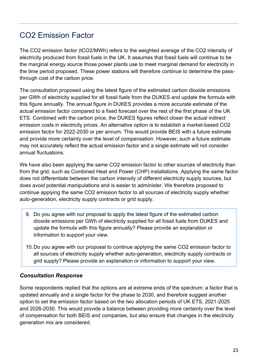### <span id="page-22-0"></span>CO2 Emission Factor

The CO2 emission factor (tCO2/MWh) refers to the weighted average of the CO2 intensity of electricity produced from fossil fuels in the UK. It assumes that fossil fuels will continue to be the marginal energy source those power plants use to meet marginal demand for electricity in the time period proposed. These power stations will therefore continue to determine the passthrough cost of the carbon price.

The consultation proposed using the latest figure of the estimated carbon dioxide emissions per GWh of electricity supplied for all fossil fuels from the DUKES and update the formula with this figure annually. The annual figure in DUKES provides a more accurate estimate of the actual emission factor compared to a fixed forecast over the rest of the first phase of the UK ETS. Combined with the carbon price, the DUKES figures reflect closer the actual indirect emission costs in electricity prices. An alternative option is to establish a market-based CO2 emission factor for 2022-2030 or per annum. This would provide BEIS with a future estimate and provide more certainty over the level of compensation. However, such a future estimate may not accurately reflect the actual emission factor and a single estimate will not consider annual fluctuations.

We have also been applying the same CO2 emission factor to other sources of electricity than from the grid, such as Combined Heat and Power (CHP) installations. Applying the same factor does not differentiate between the carbon intensity of different electricity supply sources, but does avoid potential manipulations and is easier to administer. We therefore proposed to continue applying the same CO2 emission factor to all sources of electricity supply whether auto-generation, electricity supply contracts or grid supply.

- 9. Do you agree with our proposal to apply the latest figure of the estimated carbon dioxide emissions per GWh of electricity supplied for all fossil fuels from DUKES and update the formula with this figure annually? Please provide an explanation or information to support your view.
- 10.Do you agree with our proposal to continue applying the same CO2 emission factor to all sources of electricity supply whether auto-generation, electricity supply contracts or grid supply? Please provide an explanation or information to support your view.

### *Consultation Response*

Some respondents replied that the options are at extreme ends of the spectrum: a factor that is updated annually and a single factor for the phase to 2030, and therefore suggest another option to set the emission factor based on the two allocation periods of UK ETS, 2021-2025 and 2026-2030. This would provide a balance between providing more certainty over the level of compensation for both BEIS and companies, but also ensure that changes in the electricity generation mix are considered.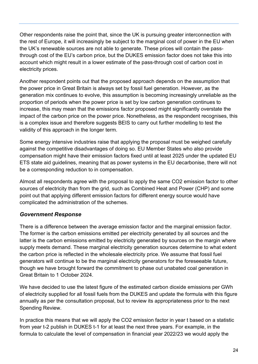Other respondents raise the point that, since the UK is pursuing greater interconnection with the rest of Europe, it will increasingly be subject to the marginal cost of power in the EU when the UK's renewable sources are not able to generate. These prices will contain the passthrough cost of the EU's carbon price, but the DUKES emission factor does not take this into account which might result in a lower estimate of the pass-through cost of carbon cost in electricity prices.

Another respondent points out that the proposed approach depends on the assumption that the power price in Great Britain is always set by fossil fuel generation. However, as the generation mix continues to evolve, this assumption is becoming increasingly unreliable as the proportion of periods when the power price is set by low carbon generation continues to increase, this may mean that the emissions factor proposed might significantly overstate the impact of the carbon price on the power price. Nonetheless, as the respondent recognises, this is a complex issue and therefore suggests BEIS to carry out further modelling to test the validity of this approach in the longer term.

Some energy intensive industries raise that applying the proposal must be weighed carefully against the competitive disadvantages of doing so. EU Member States who also provide compensation might have their emission factors fixed until at least 2025 under the updated EU ETS state aid guidelines, meaning that as power systems in the EU decarbonise, there will not be a corresponding reduction to in compensation.

Almost all respondents agree with the proposal to apply the same CO2 emission factor to other sources of electricity than from the grid, such as Combined Heat and Power (CHP) and some point out that applying different emission factors for different energy source would have complicated the administration of the schemes.

### *Government Response*

There is a difference between the average emission factor and the marginal emission factor. The former is the carbon emissions emitted per electricity generated by all sources and the latter is the carbon emissions emitted by electricity generated by sources on the margin where supply meets demand. These marginal electricity generation sources determine to what extent the carbon price is reflected in the wholesale electricity price. We assume that fossil fuel generators will continue to be the marginal electricity generators for the foreseeable future, though we have brought forward the commitment to phase out unabated coal generation in Great Britain to 1 October 2024.

We have decided to use the latest figure of the estimated carbon dioxide emissions per GWh of electricity supplied for all fossil fuels from the DUKES and update the formula with this figure annually as per the consultation proposal, but to review its appropriateness prior to the next Spending Review.

In practice this means that we will apply the CO2 emission factor in year t based on a statistic from year t-2 publish in DUKES t-1 for at least the next three years. For example, in the formula to calculate the level of compensation in financial year 2022/23 we would apply the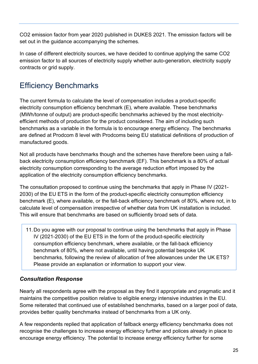CO2 emission factor from year 2020 published in DUKES 2021. The emission factors will be set out in the guidance accompanying the schemes.

In case of different electricity sources, we have decided to continue applying the same CO2 emission factor to all sources of electricity supply whether auto-generation, electricity supply contracts or grid supply.

### <span id="page-24-0"></span>Efficiency Benchmarks

The current formula to calculate the level of compensation includes a product-specific electricity consumption efficiency benchmark (E), where available. These benchmarks (MWh/tonne of output) are product-specific benchmarks achieved by the most electricityefficient methods of production for the product considered. The aim of including such benchmarks as a variable in the formula is to encourage energy efficiency. The benchmarks are defined at Prodcom 8 level with Prodcoms being EU statistical definitions of production of manufactured goods.

Not all products have benchmarks though and the schemes have therefore been using a fallback electricity consumption efficiency benchmark (EF). This benchmark is a 80% of actual electricity consumption corresponding to the average reduction effort imposed by the application of the electricity consumption efficiency benchmarks.

The consultation proposed to continue using the benchmarks that apply in Phase IV (2021- 2030) of the EU ETS in the form of the product-specific electricity consumption efficiency benchmark (E), where available, or the fall-back efficiency benchmark of 80%, where not, in to calculate level of compensation irrespective of whether data from UK installation is included. This will ensure that benchmarks are based on sufficiently broad sets of data.

11.Do you agree with our proposal to continue using the benchmarks that apply in Phase IV (2021-2030) of the EU ETS in the form of the product-specific electricity consumption efficiency benchmark, where available, or the fall-back efficiency benchmark of 80%, where not available, until having potential bespoke UK benchmarks, following the review of allocation of free allowances under the UK ETS? Please provide an explanation or information to support your view.

### *Consultation Response*

Nearly all respondents agree with the proposal as they find it appropriate and pragmatic and it maintains the competitive position relative to eligible energy intensive industries in the EU. Some reiterated that continued use of established benchmarks, based on a larger pool of data, provides better quality benchmarks instead of benchmarks from a UK only.

A few respondents replied that application of fallback energy efficiency benchmarks does not recognise the challenges to increase energy efficiency further and polices already in place to encourage energy efficiency. The potential to increase energy efficiency further for some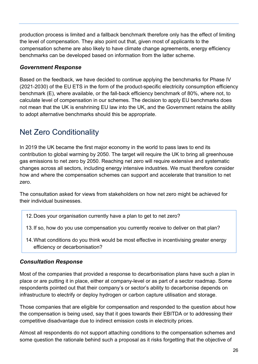production process is limited and a fallback benchmark therefore only has the effect of limiting the level of compensation. They also point out that, given most of applicants to the compensation scheme are also likely to have climate change agreements, energy efficiency benchmarks can be developed based on information from the latter scheme.

### *Government Response*

Based on the feedback, we have decided to continue applying the benchmarks for Phase IV (2021-2030) of the EU ETS in the form of the product-specific electricity consumption efficiency benchmark (E), where available, or the fall-back efficiency benchmark of 80%, where not, to calculate level of compensation in our schemes. The decision to apply EU benchmarks does not mean that the UK is enshrining EU law into the UK, and the Government retains the ability to adopt alternative benchmarks should this be appropriate.

### <span id="page-25-0"></span>Net Zero Conditionality

In 2019 the UK became the first major economy in the world to pass laws to end its contribution to global warming by 2050. The target will require the UK to bring all greenhouse gas emissions to net zero by 2050. Reaching net zero will require extensive and systematic changes across all sectors, including energy intensive industries. We must therefore consider how and where the compensation schemes can support and accelerate that transition to net zero.

The consultation asked for views from stakeholders on how net zero might be achieved for their individual businesses.

- 12.Does your organisation currently have a plan to get to net zero?
- 13.If so, how do you use compensation you currently receive to deliver on that plan?
- 14.What conditions do you think would be most effective in incentivising greater energy efficiency or decarbonisation?

### *Consultation Response*

Most of the companies that provided a response to decarbonisation plans have such a plan in place or are putting it in place, either at company-level or as part of a sector roadmap. Some respondents pointed out that their company's or sector's ability to decarbonise depends on infrastructure to electrify or deploy hydrogen or carbon capture utilisation and storage.

Those companies that are eligible for compensation and responded to the question about how the compensation is being used, say that it goes towards their EBITDA or to addressing their competitive disadvantage due to indirect emission costs in electricity prices.

Almost all respondents do not support attaching conditions to the compensation schemes and some question the rationale behind such a proposal as it risks forgetting that the objective of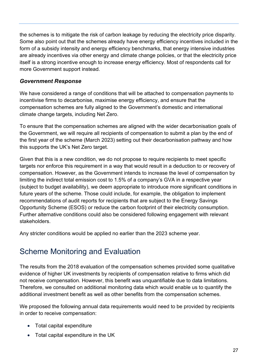the schemes is to mitigate the risk of carbon leakage by reducing the electricity price disparity. Some also point out that the schemes already have energy efficiency incentives included in the form of a subsidy intensity and energy efficiency benchmarks, that energy intensive industries are already incentives via other energy and climate change policies, or that the electricity price itself is a strong incentive enough to increase energy efficiency. Most of respondents call for more Government support instead.

### *Government Response*

We have considered a range of conditions that will be attached to compensation payments to incentivise firms to decarbonise, maximise energy efficiency, and ensure that the compensation schemes are fully aligned to the Government's domestic and international climate change targets, including Net Zero.

To ensure that the compensation schemes are aligned with the wider decarbonisation goals of the Government, we will require all recipients of compensation to submit a plan by the end of the first year of the scheme (March 2023) setting out their decarbonisation pathway and how this supports the UK's Net Zero target.

Given that this is a new condition, we do not propose to require recipients to meet specific targets nor enforce this requirement in a way that would result in a deduction to or recovery of compensation. However, as the Government intends to increase the level of compensation by limiting the indirect total emission cost to 1.5% of a company's GVA in a respective year (subject to budget availability), we deem appropriate to introduce more significant conditions in future years of the scheme. Those could include, for example, the obligation to implement recommendations of audit reports for recipients that are subject to the Energy Savings Opportunity Scheme (ESOS) or reduce the carbon footprint of their electricity consumption. Further alternative conditions could also be considered following engagement with relevant stakeholders.

Any stricter conditions would be applied no earlier than the 2023 scheme year.

### <span id="page-26-0"></span>Scheme Monitoring and Evaluation

The results from the 2018 evaluation of the compensation schemes provided some qualitative evidence of higher UK investments by recipients of compensation relative to firms which did not receive compensation. However, this benefit was unquantifiable due to data limitations. Therefore, we consulted on additional monitoring data which would enable us to quantify the additional investment benefit as well as other benefits from the compensation schemes.

We proposed the following annual data requirements would need to be provided by recipients in order to receive compensation:

- Total capital expenditure
- Total capital expenditure in the UK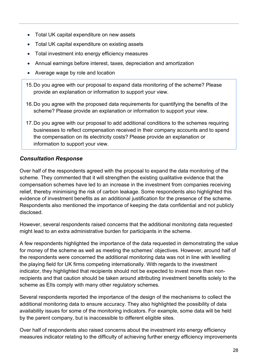- Total UK capital expenditure on new assets
- Total UK capital expenditure on existing assets
- Total investment into energy efficiency measures
- Annual earnings before interest, taxes, depreciation and amortization
- Average wage by role and location
- 15.Do you agree with our proposal to expand data monitoring of the scheme? Please provide an explanation or information to support your view.
- 16.Do you agree with the proposed data requirements for quantifying the benefits of the scheme? Please provide an explanation or information to support your view.
- 17.Do you agree with our proposal to add additional conditions to the schemes requiring businesses to reflect compensation received in their company accounts and to spend the compensation on its electricity costs? Please provide an explanation or information to support your view.

### *Consultation Response*

Over half of the respondents agreed with the proposal to expand the data monitoring of the scheme. They commented that it will strengthen the existing qualitative evidence that the compensation schemes have led to an increase in the investment from companies receiving relief, thereby minimising the risk of carbon leakage. Some respondents also highlighted this evidence of investment benefits as an additional justification for the presence of the scheme. Respondents also mentioned the importance of keeping the data confidential and not publicly disclosed.

However, several respondents raised concerns that the additional monitoring data requested might lead to an extra administrative burden for participants in the scheme.

A few respondents highlighted the importance of the data requested in demonstrating the value for money of the scheme as well as meeting the schemes' objectives. However, around half of the respondents were concerned the additional monitoring data was not in line with levelling the playing field for UK firms competing internationally. With regards to the investment indicator, they highlighted that recipients should not be expected to invest more than nonrecipients and that caution should be taken around attributing investment benefits solely to the scheme as EIIs comply with many other regulatory schemes.

Several respondents reported the importance of the design of the mechanisms to collect the additional monitoring data to ensure accuracy. They also highlighted the possibility of data availability issues for some of the monitoring indicators. For example, some data will be held by the parent company, but is inaccessible to different eligible sites.

Over half of respondents also raised concerns about the investment into energy efficiency measures indicator relating to the difficulty of achieving further energy efficiency improvements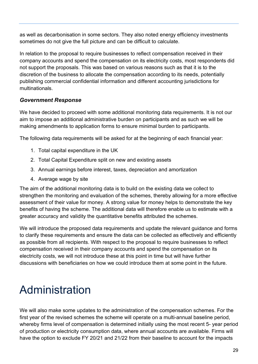as well as decarbonisation in some sectors. They also noted energy efficiency investments sometimes do not give the full picture and can be difficult to calculate.

In relation to the proposal to require businesses to reflect compensation received in their company accounts and spend the compensation on its electricity costs, most respondents did not support the proposals. This was based on various reasons such as that it is to the discretion of the business to allocate the compensation according to its needs, potentially publishing commercial confidential information and different accounting jurisdictions for multinationals.

### *Government Response*

We have decided to proceed with some additional monitoring data requirements. It is not our aim to impose an additional administrative burden on participants and as such we will be making amendments to application forms to ensure minimal burden to participants.

The following data requirements will be asked for at the beginning of each financial year:

- 1. Total capital expenditure in the UK
- 2. Total Capital Expenditure split on new and existing assets
- 3. Annual earnings before interest, taxes, depreciation and amortization
- 4. Average wage by site

The aim of the additional monitoring data is to build on the existing data we collect to strengthen the monitoring and evaluation of the schemes, thereby allowing for a more effective assessment of their value for money. A strong value for money helps to demonstrate the key benefits of having the scheme. The additional data will therefore enable us to estimate with a greater accuracy and validity the quantitative benefits attributed the schemes.

We will introduce the proposed data requirements and update the relevant guidance and forms to clarify these requirements and ensure the data can be collected as effectively and efficiently as possible from all recipients. With respect to the proposal to require businesses to reflect compensation received in their company accounts and spend the compensation on its electricity costs, we will not introduce these at this point in time but will have further discussions with beneficiaries on how we could introduce them at some point in the future.

## <span id="page-28-0"></span>Administration

We will also make some updates to the administration of the compensation schemes. For the first year of the revised schemes the scheme will operate on a multi-annual baseline period, whereby firms level of compensation is determined initially using the most recent 5- year period of production or electricity consumption data, where annual accounts are available. Firms will have the option to exclude FY 20/21 and 21/22 from their baseline to account for the impacts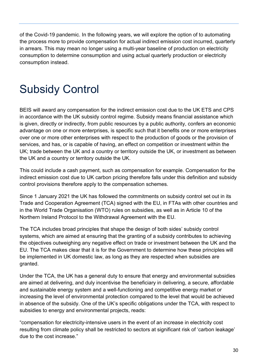of the Covid-19 pandemic. In the following years, we will explore the option of to automating the process more to provide compensation for actual indirect emission cost incurred, quarterly in arrears. This may mean no longer using a multi-year baseline of production on electricity consumption to determine consumption and using actual quarterly production or electricity consumption instead.

## <span id="page-29-0"></span>Subsidy Control

BEIS will award any compensation for the indirect emission cost due to the UK ETS and CPS in accordance with the UK subsidy control regime. Subsidy means financial assistance which is given, directly or indirectly, from public resources by a public authority, confers an economic advantage on one or more enterprises, is specific such that it benefits one or more enterprises over one or more other enterprises with respect to the production of goods or the provision of services, and has, or is capable of having, an effect on competition or investment within the UK; trade between the UK and a country or territory outside the UK, or investment as between the UK and a country or territory outside the UK.

This could include a cash payment, such as compensation for example. Compensation for the indirect emission cost due to UK carbon pricing therefore falls under this definition and subsidy control provisions therefore apply to the compensation schemes.

Since 1 January 2021 the UK has followed the commitments on subsidy control set out in its Trade and Cooperation Agreement (TCA) signed with the EU, in FTAs with other countries and in the World Trade Organisation (WTO) rules on subsidies, as well as in Article 10 of the Northern Ireland Protocol to the Withdrawal Agreement with the EU.

The TCA includes broad principles that shape the design of both sides' subsidy control systems, which are aimed at ensuring that the granting of a subsidy contributes to achieving the objectives outweighing any negative effect on trade or investment between the UK and the EU. The TCA makes clear that it is for the Government to determine how these principles will be implemented in UK domestic law, as long as they are respected when subsidies are granted.

Under the TCA, the UK has a general duty to ensure that energy and environmental subsidies are aimed at delivering, and duly incentivise the beneficiary in delivering, a secure, affordable and sustainable energy system and a well-functioning and competitive energy market or increasing the level of environmental protection compared to the level that would be achieved in absence of the subsidy. One of the UK's specific obligations under the TCA, with respect to subsidies to energy and environmental projects, reads:

"compensation for electricity-intensive users in the event of an increase in electricity cost resulting from climate policy shall be restricted to sectors at significant risk of 'carbon leakage' due to the cost increase."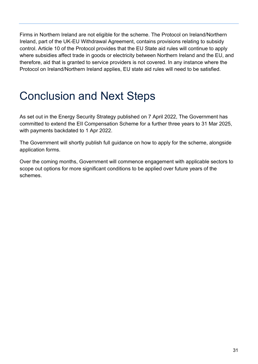Firms in Northern Ireland are not eligible for the scheme. The Protocol on Ireland/Northern Ireland, part of the UK-EU Withdrawal Agreement, contains provisions relating to subsidy control. Article 10 of the Protocol provides that the EU State aid rules will continue to apply where subsidies affect trade in goods or electricity between Northern Ireland and the EU, and therefore, aid that is granted to service providers is not covered. In any instance where the Protocol on Ireland/Northern Ireland applies, EU state aid rules will need to be satisfied.

## <span id="page-30-0"></span>Conclusion and Next Steps

As set out in the Energy Security Strategy published on 7 April 2022, The Government has committed to extend the EII Compensation Scheme for a further three years to 31 Mar 2025, with payments backdated to 1 Apr 2022.

The Government will shortly publish full guidance on how to apply for the scheme, alongside application forms.

Over the coming months, Government will commence engagement with applicable sectors to scope out options for more significant conditions to be applied over future years of the schemes.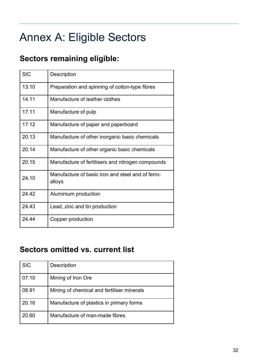## <span id="page-31-0"></span>Annex A: Eligible Sectors

### <span id="page-31-1"></span>**Sectors remaining eligible:**

| <b>SIC</b> | <b>Description</b>                                          |
|------------|-------------------------------------------------------------|
| 13.10      | Preparation and spinning of cotton-type fibres              |
| 14.11      | Manufacture of leather clothes                              |
| 17.11      | Manufacture of pulp                                         |
| 17.12      | Manufacture of paper and paperboard                         |
| 20.13      | Manufacture of other inorganic basic chemicals              |
| 20.14      | Manufacture of other organic basic chemicals                |
| 20.15      | Manufacture of fertilisers and nitrogen compounds           |
| 24.10      | Manufacture of basic iron and steel and of ferro-<br>alloys |
| 24.42      | Aluminium production                                        |
| 24.43      | Lead, zinc and tin production                               |
| 24.44      | Copper production                                           |

### <span id="page-31-2"></span>**Sectors omitted vs. current list**

| <b>SIC</b> | <b>Description</b>                         |
|------------|--------------------------------------------|
| 07.10      | Mining of Iron Ore                         |
| 08.91      | Mining of chemical and fertiliser minerals |
| 20.16      | Manufacture of plastics in primary forms   |
| 20.60      | Manufacture of man-made fibres             |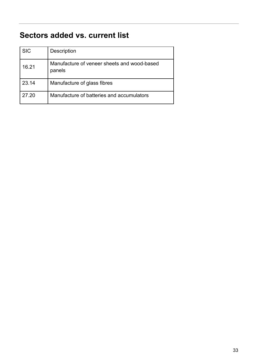### <span id="page-32-0"></span>**Sectors added vs. current list**

| <b>SIC</b> | <b>Description</b>                                    |
|------------|-------------------------------------------------------|
| 16.21      | Manufacture of veneer sheets and wood-based<br>panels |
| 23.14      | Manufacture of glass fibres                           |
| 27.20      | Manufacture of batteries and accumulators             |